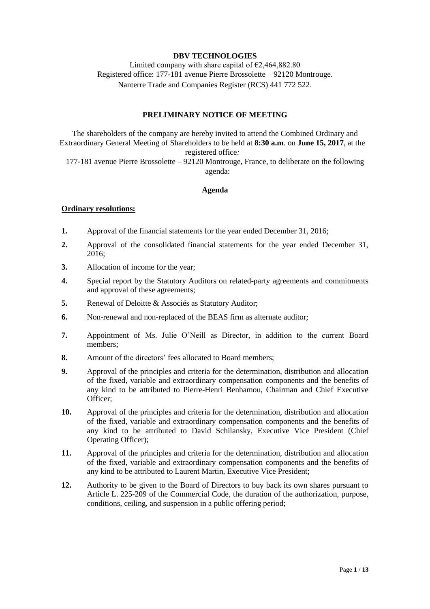# **DBV TECHNOLOGIES**

Limited company with share capital of  $\epsilon$ 2,464,882.80 Registered office: 177-181 avenue Pierre Brossolette – 92120 Montrouge. Nanterre Trade and Companies Register (RCS) 441 772 522.

# **PRELIMINARY NOTICE OF MEETING**

The shareholders of the company are hereby invited to attend the Combined Ordinary and Extraordinary General Meeting of Shareholders to be held at **8:30 a.m**. on **June 15, 2017**, at the registered office*:* 177-181 avenue Pierre Brossolette – 92120 Montrouge, France, to deliberate on the following

agenda:

### **Agenda**

### **Ordinary resolutions:**

- **1.** Approval of the financial statements for the year ended December 31, 2016;
- **2.** Approval of the consolidated financial statements for the year ended December 31, 2016;
- **3.** Allocation of income for the year;
- **4.** Special report by the Statutory Auditors on related-party agreements and commitments and approval of these agreements;
- **5.** Renewal of Deloitte & Associés as Statutory Auditor;
- **6.** Non-renewal and non-replaced of the BEAS firm as alternate auditor;
- **7.** Appointment of Ms. Julie O'Neill as Director, in addition to the current Board members;
- **8.** Amount of the directors' fees allocated to Board members;
- **9.** Approval of the principles and criteria for the determination, distribution and allocation of the fixed, variable and extraordinary compensation components and the benefits of any kind to be attributed to Pierre-Henri Benhamou, Chairman and Chief Executive Officer;
- **10.** Approval of the principles and criteria for the determination, distribution and allocation of the fixed, variable and extraordinary compensation components and the benefits of any kind to be attributed to David Schilansky, Executive Vice President (Chief Operating Officer);
- **11.** Approval of the principles and criteria for the determination, distribution and allocation of the fixed, variable and extraordinary compensation components and the benefits of any kind to be attributed to Laurent Martin, Executive Vice President;
- **12.** Authority to be given to the Board of Directors to buy back its own shares pursuant to Article L. 225-209 of the Commercial Code, the duration of the authorization, purpose, conditions, ceiling, and suspension in a public offering period;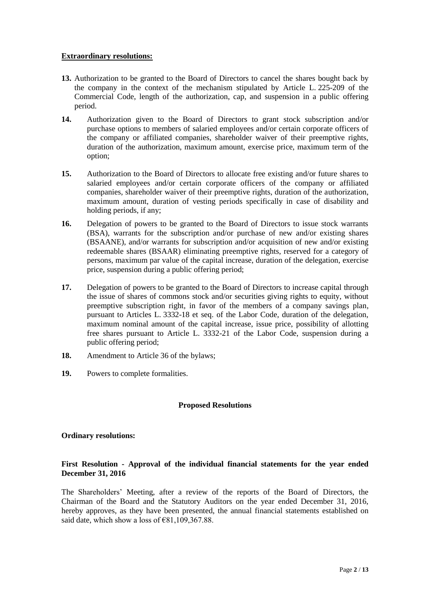### **Extraordinary resolutions:**

- **13.** Authorization to be granted to the Board of Directors to cancel the shares bought back by the company in the context of the mechanism stipulated by Article L. 225-209 of the Commercial Code, length of the authorization, cap, and suspension in a public offering period.
- **14.** Authorization given to the Board of Directors to grant stock subscription and/or purchase options to members of salaried employees and/or certain corporate officers of the company or affiliated companies, shareholder waiver of their preemptive rights, duration of the authorization, maximum amount, exercise price, maximum term of the option;
- **15.** Authorization to the Board of Directors to allocate free existing and/or future shares to salaried employees and/or certain corporate officers of the company or affiliated companies, shareholder waiver of their preemptive rights, duration of the authorization, maximum amount, duration of vesting periods specifically in case of disability and holding periods, if any;
- **16.** Delegation of powers to be granted to the Board of Directors to issue stock warrants (BSA), warrants for the subscription and/or purchase of new and/or existing shares (BSAANE), and/or warrants for subscription and/or acquisition of new and/or existing redeemable shares (BSAAR) eliminating preemptive rights, reserved for a category of persons, maximum par value of the capital increase, duration of the delegation, exercise price, suspension during a public offering period;
- **17.** Delegation of powers to be granted to the Board of Directors to increase capital through the issue of shares of commons stock and/or securities giving rights to equity, without preemptive subscription right, in favor of the members of a company savings plan, pursuant to Articles L. 3332-18 et seq. of the Labor Code, duration of the delegation, maximum nominal amount of the capital increase, issue price, possibility of allotting free shares pursuant to Article L. 3332-21 of the Labor Code, suspension during a public offering period;
- **18.** Amendment to Article 36 of the bylaws;
- **19.** Powers to complete formalities.

### **Proposed Resolutions**

### **Ordinary resolutions:**

# **First Resolution - Approval of the individual financial statements for the year ended December 31, 2016**

The Shareholders' Meeting, after a review of the reports of the Board of Directors, the Chairman of the Board and the Statutory Auditors on the year ended December 31, 2016, hereby approves, as they have been presented, the annual financial statements established on said date, which show a loss of  $\epsilon$ 81,109,367.88.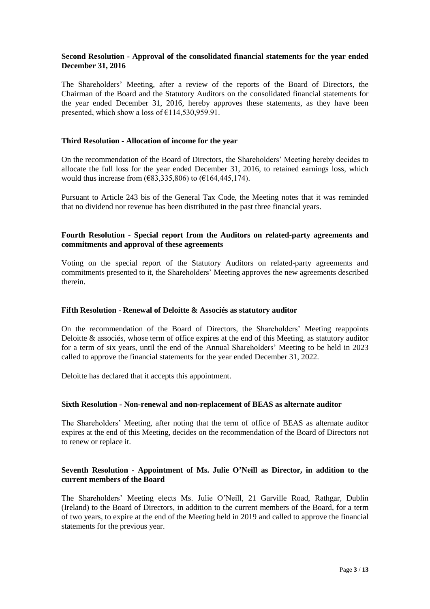### **Second Resolution - Approval of the consolidated financial statements for the year ended December 31, 2016**

The Shareholders' Meeting, after a review of the reports of the Board of Directors, the Chairman of the Board and the Statutory Auditors on the consolidated financial statements for the year ended December 31, 2016, hereby approves these statements, as they have been presented, which show a loss of  $£114,530,959.91$ .

### **Third Resolution - Allocation of income for the year**

On the recommendation of the Board of Directors, the Shareholders' Meeting hereby decides to allocate the full loss for the year ended December 31, 2016, to retained earnings loss, which would thus increase from  $(€83,335,806)$  to  $(€164,445,174)$ .

Pursuant to Article 243 bis of the General Tax Code, the Meeting notes that it was reminded that no dividend nor revenue has been distributed in the past three financial years.

### **Fourth Resolution - Special report from the Auditors on related-party agreements and commitments and approval of these agreements**

Voting on the special report of the Statutory Auditors on related-party agreements and commitments presented to it, the Shareholders' Meeting approves the new agreements described therein.

### **Fifth Resolution** - **Renewal of Deloitte & Associés as statutory auditor**

On the recommendation of the Board of Directors, the Shareholders' Meeting reappoints Deloitte  $\&$  associés, whose term of office expires at the end of this Meeting, as statutory auditor for a term of six years, until the end of the Annual Shareholders' Meeting to be held in 2023 called to approve the financial statements for the year ended December 31, 2022.

Deloitte has declared that it accepts this appointment.

#### **Sixth Resolution - Non-renewal and non-replacement of BEAS as alternate auditor**

The Shareholders' Meeting, after noting that the term of office of BEAS as alternate auditor expires at the end of this Meeting, decides on the recommendation of the Board of Directors not to renew or replace it.

### **Seventh Resolution - Appointment of Ms. Julie O'Neill as Director, in addition to the current members of the Board**

The Shareholders' Meeting elects Ms. Julie O'Neill, 21 Garville Road, Rathgar, Dublin (Ireland) to the Board of Directors, in addition to the current members of the Board, for a term of two years, to expire at the end of the Meeting held in 2019 and called to approve the financial statements for the previous year.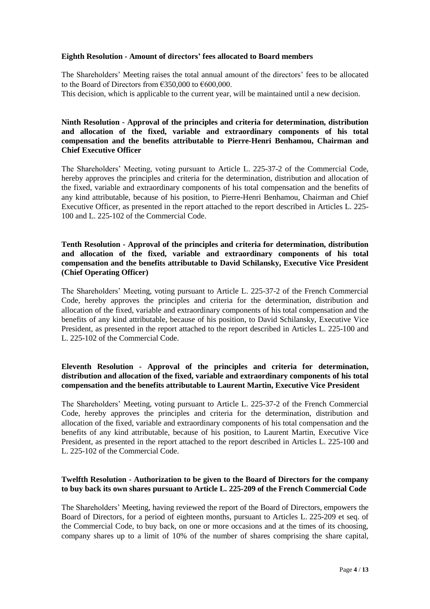### **Eighth Resolution - Amount of directors' fees allocated to Board members**

The Shareholders' Meeting raises the total annual amount of the directors' fees to be allocated to the Board of Directors from €350,000 to €600,000

This decision, which is applicable to the current year, will be maintained until a new decision.

# **Ninth Resolution - Approval of the principles and criteria for determination, distribution and allocation of the fixed, variable and extraordinary components of his total compensation and the benefits attributable to Pierre-Henri Benhamou, Chairman and Chief Executive Officer**

The Shareholders' Meeting, voting pursuant to Article L. 225-37-2 of the Commercial Code, hereby approves the principles and criteria for the determination, distribution and allocation of the fixed, variable and extraordinary components of his total compensation and the benefits of any kind attributable, because of his position, to Pierre-Henri Benhamou, Chairman and Chief Executive Officer, as presented in the report attached to the report described in Articles L. 225- 100 and L. 225-102 of the Commercial Code.

# **Tenth Resolution - Approval of the principles and criteria for determination, distribution and allocation of the fixed, variable and extraordinary components of his total compensation and the benefits attributable to David Schilansky, Executive Vice President (Chief Operating Officer)**

The Shareholders' Meeting, voting pursuant to Article L. 225-37-2 of the French Commercial Code, hereby approves the principles and criteria for the determination, distribution and allocation of the fixed, variable and extraordinary components of his total compensation and the benefits of any kind attributable, because of his position, to David Schilansky, Executive Vice President, as presented in the report attached to the report described in Articles L. 225-100 and L. 225-102 of the Commercial Code.

# **Eleventh Resolution - Approval of the principles and criteria for determination, distribution and allocation of the fixed, variable and extraordinary components of his total compensation and the benefits attributable to Laurent Martin, Executive Vice President**

The Shareholders' Meeting, voting pursuant to Article L. 225-37-2 of the French Commercial Code, hereby approves the principles and criteria for the determination, distribution and allocation of the fixed, variable and extraordinary components of his total compensation and the benefits of any kind attributable, because of his position, to Laurent Martin, Executive Vice President, as presented in the report attached to the report described in Articles L. 225-100 and L. 225-102 of the Commercial Code.

### **Twelfth Resolution - Authorization to be given to the Board of Directors for the company to buy back its own shares pursuant to Article L. 225-209 of the French Commercial Code**

The Shareholders' Meeting, having reviewed the report of the Board of Directors, empowers the Board of Directors, for a period of eighteen months, pursuant to Articles L. 225-209 et seq. of the Commercial Code, to buy back, on one or more occasions and at the times of its choosing, company shares up to a limit of 10% of the number of shares comprising the share capital,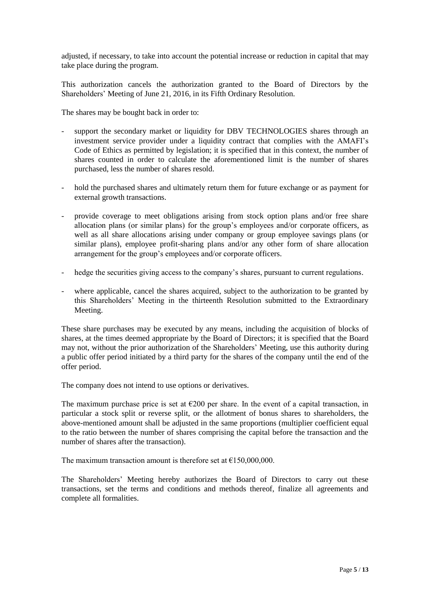adjusted, if necessary, to take into account the potential increase or reduction in capital that may take place during the program.

This authorization cancels the authorization granted to the Board of Directors by the Shareholders' Meeting of June 21, 2016, in its Fifth Ordinary Resolution.

The shares may be bought back in order to:

- support the secondary market or liquidity for DBV TECHNOLOGIES shares through an investment service provider under a liquidity contract that complies with the AMAFI's Code of Ethics as permitted by legislation; it is specified that in this context, the number of shares counted in order to calculate the aforementioned limit is the number of shares purchased, less the number of shares resold.
- hold the purchased shares and ultimately return them for future exchange or as payment for external growth transactions.
- provide coverage to meet obligations arising from stock option plans and/or free share allocation plans (or similar plans) for the group's employees and/or corporate officers, as well as all share allocations arising under company or group employee savings plans (or similar plans), employee profit-sharing plans and/or any other form of share allocation arrangement for the group's employees and/or corporate officers.
- hedge the securities giving access to the company's shares, pursuant to current regulations.
- where applicable, cancel the shares acquired, subject to the authorization to be granted by this Shareholders' Meeting in the thirteenth Resolution submitted to the Extraordinary Meeting.

These share purchases may be executed by any means, including the acquisition of blocks of shares, at the times deemed appropriate by the Board of Directors; it is specified that the Board may not, without the prior authorization of the Shareholders' Meeting, use this authority during a public offer period initiated by a third party for the shares of the company until the end of the offer period.

The company does not intend to use options or derivatives.

The maximum purchase price is set at  $\epsilon$ 200 per share. In the event of a capital transaction, in particular a stock split or reverse split, or the allotment of bonus shares to shareholders, the above-mentioned amount shall be adjusted in the same proportions (multiplier coefficient equal to the ratio between the number of shares comprising the capital before the transaction and the number of shares after the transaction).

The maximum transaction amount is therefore set at  $\epsilon$ 150,000,000.

The Shareholders' Meeting hereby authorizes the Board of Directors to carry out these transactions, set the terms and conditions and methods thereof, finalize all agreements and complete all formalities.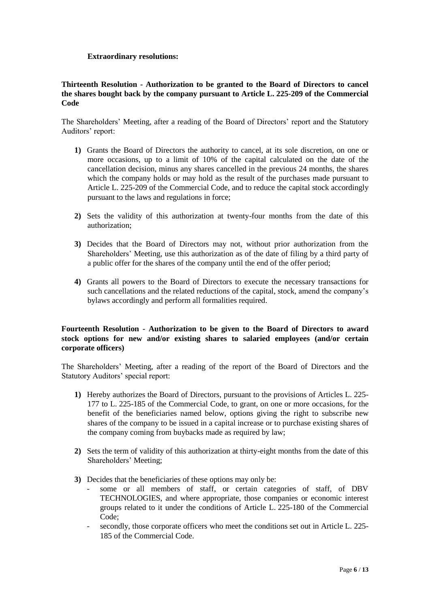### **Extraordinary resolutions:**

### **Thirteenth Resolution - Authorization to be granted to the Board of Directors to cancel the shares bought back by the company pursuant to Article L. 225-209 of the Commercial Code**

The Shareholders' Meeting, after a reading of the Board of Directors' report and the Statutory Auditors' report:

- **1)** Grants the Board of Directors the authority to cancel, at its sole discretion, on one or more occasions, up to a limit of 10% of the capital calculated on the date of the cancellation decision, minus any shares cancelled in the previous 24 months, the shares which the company holds or may hold as the result of the purchases made pursuant to Article L. 225-209 of the Commercial Code, and to reduce the capital stock accordingly pursuant to the laws and regulations in force;
- **2)** Sets the validity of this authorization at twenty-four months from the date of this authorization;
- **3)** Decides that the Board of Directors may not, without prior authorization from the Shareholders' Meeting, use this authorization as of the date of filing by a third party of a public offer for the shares of the company until the end of the offer period;
- **4)** Grants all powers to the Board of Directors to execute the necessary transactions for such cancellations and the related reductions of the capital, stock, amend the company's bylaws accordingly and perform all formalities required.

# **Fourteenth Resolution - Authorization to be given to the Board of Directors to award stock options for new and/or existing shares to salaried employees (and/or certain corporate officers)**

The Shareholders' Meeting, after a reading of the report of the Board of Directors and the Statutory Auditors' special report:

- **1)** Hereby authorizes the Board of Directors, pursuant to the provisions of Articles L. 225- 177 to L. 225-185 of the Commercial Code, to grant, on one or more occasions, for the benefit of the beneficiaries named below, options giving the right to subscribe new shares of the company to be issued in a capital increase or to purchase existing shares of the company coming from buybacks made as required by law;
- **2)** Sets the term of validity of this authorization at thirty-eight months from the date of this Shareholders' Meeting;
- **3)** Decides that the beneficiaries of these options may only be:
	- some or all members of staff, or certain categories of staff, of DBV TECHNOLOGIES, and where appropriate, those companies or economic interest groups related to it under the conditions of Article L. 225-180 of the Commercial Code;
	- secondly, those corporate officers who meet the conditions set out in Article L. 225-185 of the Commercial Code.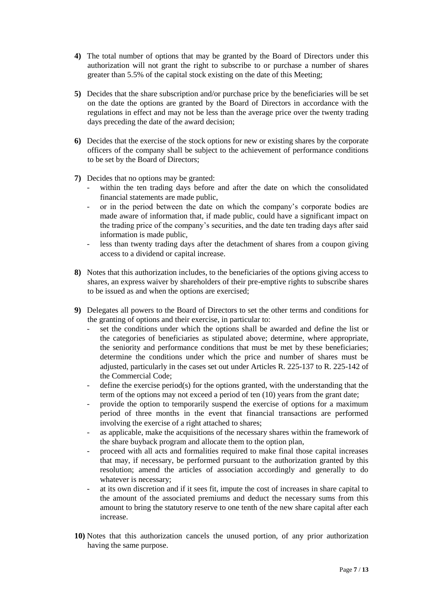- **4)** The total number of options that may be granted by the Board of Directors under this authorization will not grant the right to subscribe to or purchase a number of shares greater than 5.5% of the capital stock existing on the date of this Meeting;
- **5)** Decides that the share subscription and/or purchase price by the beneficiaries will be set on the date the options are granted by the Board of Directors in accordance with the regulations in effect and may not be less than the average price over the twenty trading days preceding the date of the award decision;
- **6)** Decides that the exercise of the stock options for new or existing shares by the corporate officers of the company shall be subject to the achievement of performance conditions to be set by the Board of Directors;
- **7)** Decides that no options may be granted:
	- within the ten trading days before and after the date on which the consolidated financial statements are made public,
	- or in the period between the date on which the company's corporate bodies are made aware of information that, if made public, could have a significant impact on the trading price of the company's securities, and the date ten trading days after said information is made public,
	- less than twenty trading days after the detachment of shares from a coupon giving access to a dividend or capital increase.
- **8)** Notes that this authorization includes, to the beneficiaries of the options giving access to shares, an express waiver by shareholders of their pre-emptive rights to subscribe shares to be issued as and when the options are exercised;
- **9)** Delegates all powers to the Board of Directors to set the other terms and conditions for the granting of options and their exercise, in particular to:
	- set the conditions under which the options shall be awarded and define the list or the categories of beneficiaries as stipulated above; determine, where appropriate, the seniority and performance conditions that must be met by these beneficiaries; determine the conditions under which the price and number of shares must be adjusted, particularly in the cases set out under Articles R. 225-137 to R. 225-142 of the Commercial Code;
	- define the exercise period(s) for the options granted, with the understanding that the term of the options may not exceed a period of ten (10) years from the grant date;
	- provide the option to temporarily suspend the exercise of options for a maximum period of three months in the event that financial transactions are performed involving the exercise of a right attached to shares;
	- as applicable, make the acquisitions of the necessary shares within the framework of the share buyback program and allocate them to the option plan,
	- proceed with all acts and formalities required to make final those capital increases that may, if necessary, be performed pursuant to the authorization granted by this resolution; amend the articles of association accordingly and generally to do whatever is necessary;
	- at its own discretion and if it sees fit, impute the cost of increases in share capital to the amount of the associated premiums and deduct the necessary sums from this amount to bring the statutory reserve to one tenth of the new share capital after each increase.
- **10)** Notes that this authorization cancels the unused portion, of any prior authorization having the same purpose.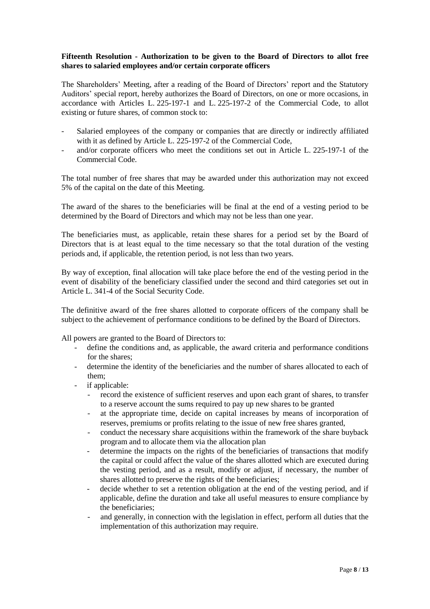### **Fifteenth Resolution - Authorization to be given to the Board of Directors to allot free shares to salaried employees and/or certain corporate officers**

The Shareholders' Meeting, after a reading of the Board of Directors' report and the Statutory Auditors' special report, hereby authorizes the Board of Directors, on one or more occasions, in accordance with Articles L. 225-197-1 and L. 225-197-2 of the Commercial Code, to allot existing or future shares, of common stock to:

- Salaried employees of the company or companies that are directly or indirectly affiliated with it as defined by Article L. 225-197-2 of the Commercial Code,
- and/or corporate officers who meet the conditions set out in Article L. 225-197-1 of the Commercial Code.

The total number of free shares that may be awarded under this authorization may not exceed 5% of the capital on the date of this Meeting.

The award of the shares to the beneficiaries will be final at the end of a vesting period to be determined by the Board of Directors and which may not be less than one year.

The beneficiaries must, as applicable, retain these shares for a period set by the Board of Directors that is at least equal to the time necessary so that the total duration of the vesting periods and, if applicable, the retention period, is not less than two years.

By way of exception, final allocation will take place before the end of the vesting period in the event of disability of the beneficiary classified under the second and third categories set out in Article L. 341-4 of the Social Security Code.

The definitive award of the free shares allotted to corporate officers of the company shall be subject to the achievement of performance conditions to be defined by the Board of Directors.

All powers are granted to the Board of Directors to:

- define the conditions and, as applicable, the award criteria and performance conditions for the shares;
- determine the identity of the beneficiaries and the number of shares allocated to each of them;
- if applicable:
	- record the existence of sufficient reserves and upon each grant of shares, to transfer to a reserve account the sums required to pay up new shares to be granted
	- at the appropriate time, decide on capital increases by means of incorporation of reserves, premiums or profits relating to the issue of new free shares granted,
	- conduct the necessary share acquisitions within the framework of the share buyback program and to allocate them via the allocation plan
	- determine the impacts on the rights of the beneficiaries of transactions that modify the capital or could affect the value of the shares allotted which are executed during the vesting period, and as a result, modify or adjust, if necessary, the number of shares allotted to preserve the rights of the beneficiaries;
	- decide whether to set a retention obligation at the end of the vesting period, and if applicable, define the duration and take all useful measures to ensure compliance by the beneficiaries;
	- and generally, in connection with the legislation in effect, perform all duties that the implementation of this authorization may require.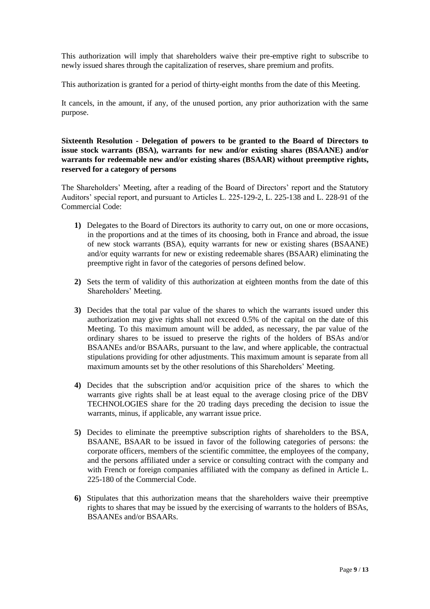This authorization will imply that shareholders waive their pre-emptive right to subscribe to newly issued shares through the capitalization of reserves, share premium and profits.

This authorization is granted for a period of thirty-eight months from the date of this Meeting.

It cancels, in the amount, if any, of the unused portion, any prior authorization with the same purpose.

**Sixteenth Resolution - Delegation of powers to be granted to the Board of Directors to issue stock warrants (BSA), warrants for new and/or existing shares (BSAANE) and/or warrants for redeemable new and/or existing shares (BSAAR) without preemptive rights, reserved for a category of persons**

The Shareholders' Meeting, after a reading of the Board of Directors' report and the Statutory Auditors' special report, and pursuant to Articles L. 225-129-2, L. 225-138 and L. 228-91 of the Commercial Code:

- **1)** Delegates to the Board of Directors its authority to carry out, on one or more occasions, in the proportions and at the times of its choosing, both in France and abroad, the issue of new stock warrants (BSA), equity warrants for new or existing shares (BSAANE) and/or equity warrants for new or existing redeemable shares (BSAAR) eliminating the preemptive right in favor of the categories of persons defined below.
- **2)** Sets the term of validity of this authorization at eighteen months from the date of this Shareholders' Meeting.
- **3)** Decides that the total par value of the shares to which the warrants issued under this authorization may give rights shall not exceed 0.5% of the capital on the date of this Meeting. To this maximum amount will be added, as necessary, the par value of the ordinary shares to be issued to preserve the rights of the holders of BSAs and/or BSAANEs and/or BSAARs, pursuant to the law, and where applicable, the contractual stipulations providing for other adjustments. This maximum amount is separate from all maximum amounts set by the other resolutions of this Shareholders' Meeting.
- **4)** Decides that the subscription and/or acquisition price of the shares to which the warrants give rights shall be at least equal to the average closing price of the DBV TECHNOLOGIES share for the 20 trading days preceding the decision to issue the warrants, minus, if applicable, any warrant issue price.
- **5)** Decides to eliminate the preemptive subscription rights of shareholders to the BSA, BSAANE, BSAAR to be issued in favor of the following categories of persons: the corporate officers, members of the scientific committee, the employees of the company, and the persons affiliated under a service or consulting contract with the company and with French or foreign companies affiliated with the company as defined in Article L. 225-180 of the Commercial Code.
- **6)** Stipulates that this authorization means that the shareholders waive their preemptive rights to shares that may be issued by the exercising of warrants to the holders of BSAs, BSAANEs and/or BSAARs.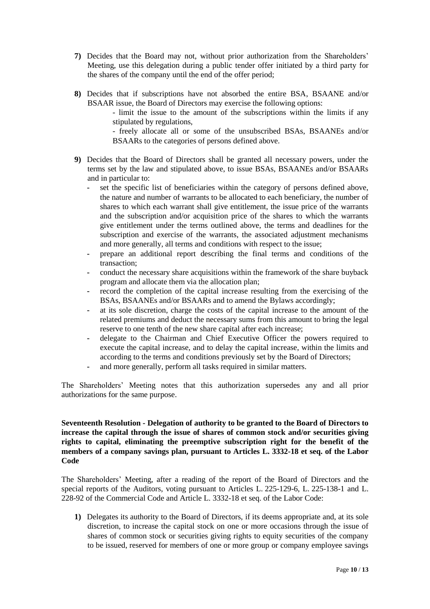- **7)** Decides that the Board may not, without prior authorization from the Shareholders' Meeting, use this delegation during a public tender offer initiated by a third party for the shares of the company until the end of the offer period;
- **8)** Decides that if subscriptions have not absorbed the entire BSA, BSAANE and/or BSAAR issue, the Board of Directors may exercise the following options:

- limit the issue to the amount of the subscriptions within the limits if any stipulated by regulations,

- freely allocate all or some of the unsubscribed BSAs, BSAANEs and/or BSAARs to the categories of persons defined above.

- **9)** Decides that the Board of Directors shall be granted all necessary powers, under the terms set by the law and stipulated above, to issue BSAs, BSAANEs and/or BSAARs and in particular to:
	- **-** set the specific list of beneficiaries within the category of persons defined above, the nature and number of warrants to be allocated to each beneficiary, the number of shares to which each warrant shall give entitlement, the issue price of the warrants and the subscription and/or acquisition price of the shares to which the warrants give entitlement under the terms outlined above, the terms and deadlines for the subscription and exercise of the warrants, the associated adjustment mechanisms and more generally, all terms and conditions with respect to the issue;
	- **-** prepare an additional report describing the final terms and conditions of the transaction;
	- **-** conduct the necessary share acquisitions within the framework of the share buyback program and allocate them via the allocation plan;
	- **-** record the completion of the capital increase resulting from the exercising of the BSAs, BSAANEs and/or BSAARs and to amend the Bylaws accordingly;
	- **-** at its sole discretion, charge the costs of the capital increase to the amount of the related premiums and deduct the necessary sums from this amount to bring the legal reserve to one tenth of the new share capital after each increase;
	- **-** delegate to the Chairman and Chief Executive Officer the powers required to execute the capital increase, and to delay the capital increase, within the limits and according to the terms and conditions previously set by the Board of Directors;
	- **-** and more generally, perform all tasks required in similar matters.

The Shareholders' Meeting notes that this authorization supersedes any and all prior authorizations for the same purpose.

### **Seventeenth Resolution - Delegation of authority to be granted to the Board of Directors to increase the capital through the issue of shares of common stock and/or securities giving rights to capital, eliminating the preemptive subscription right for the benefit of the members of a company savings plan, pursuant to Articles L. 3332-18 et seq. of the Labor Code**

The Shareholders' Meeting, after a reading of the report of the Board of Directors and the special reports of the Auditors, voting pursuant to Articles L. 225-129-6, L. 225-138-1 and L. 228-92 of the Commercial Code and Article L. 3332-18 et seq. of the Labor Code:

**1)** Delegates its authority to the Board of Directors, if its deems appropriate and, at its sole discretion, to increase the capital stock on one or more occasions through the issue of shares of common stock or securities giving rights to equity securities of the company to be issued, reserved for members of one or more group or company employee savings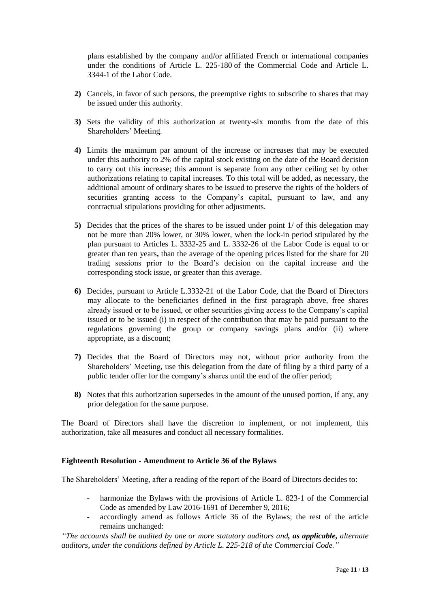plans established by the company and/or affiliated French or international companies under the conditions of Article L. 225-180 of the Commercial Code and Article L. 3344-1 of the Labor Code.

- **2)** Cancels, in favor of such persons, the preemptive rights to subscribe to shares that may be issued under this authority.
- **3)** Sets the validity of this authorization at twenty-six months from the date of this Shareholders' Meeting.
- **4)** Limits the maximum par amount of the increase or increases that may be executed under this authority to 2% of the capital stock existing on the date of the Board decision to carry out this increase; this amount is separate from any other ceiling set by other authorizations relating to capital increases. To this total will be added, as necessary, the additional amount of ordinary shares to be issued to preserve the rights of the holders of securities granting access to the Company's capital, pursuant to law, and any contractual stipulations providing for other adjustments.
- **5)** Decides that the prices of the shares to be issued under point 1/ of this delegation may not be more than 20% lower, or 30% lower, when the lock-in period stipulated by the plan pursuant to Articles L. 3332-25 and L. 3332-26 of the Labor Code is equal to or greater than ten years**,** than the average of the opening prices listed for the share for 20 trading sessions prior to the Board's decision on the capital increase and the corresponding stock issue, or greater than this average.
- **6)** Decides, pursuant to Article L.3332-21 of the Labor Code, that the Board of Directors may allocate to the beneficiaries defined in the first paragraph above, free shares already issued or to be issued, or other securities giving access to the Company's capital issued or to be issued (i) in respect of the contribution that may be paid pursuant to the regulations governing the group or company savings plans and/or (ii) where appropriate, as a discount;
- **7)** Decides that the Board of Directors may not, without prior authority from the Shareholders' Meeting, use this delegation from the date of filing by a third party of a public tender offer for the company's shares until the end of the offer period;
- **8)** Notes that this authorization supersedes in the amount of the unused portion, if any, any prior delegation for the same purpose.

The Board of Directors shall have the discretion to implement, or not implement, this authorization, take all measures and conduct all necessary formalities.

### **Eighteenth Resolution - Amendment to Article 36 of the Bylaws**

The Shareholders' Meeting, after a reading of the report of the Board of Directors decides to:

- **-** harmonize the Bylaws with the provisions of Article L. 823-1 of the Commercial Code as amended by Law 2016-1691 of December 9, 2016;
- **-** accordingly amend as follows Article 36 of the Bylaws; the rest of the article remains unchanged:

*"The accounts shall be audited by one or more statutory auditors and, as applicable, alternate auditors, under the conditions defined by Article L. 225-218 of the Commercial Code."*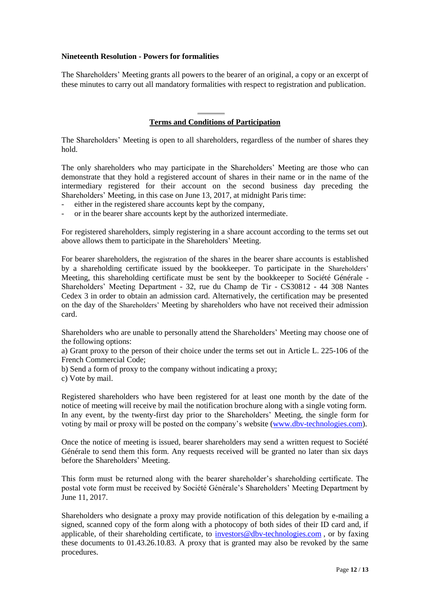### **Nineteenth Resolution - Powers for formalities**

The Shareholders' Meeting grants all powers to the bearer of an original, a copy or an excerpt of these minutes to carry out all mandatory formalities with respect to registration and publication.

# **Terms and Conditions of Participation**

The Shareholders' Meeting is open to all shareholders, regardless of the number of shares they hold.

The only shareholders who may participate in the Shareholders' Meeting are those who can demonstrate that they hold a registered account of shares in their name or in the name of the intermediary registered for their account on the second business day preceding the Shareholders' Meeting, in this case on June 13, 2017, at midnight Paris time:

- either in the registered share accounts kept by the company,
- or in the bearer share accounts kept by the authorized intermediate.

For registered shareholders, simply registering in a share account according to the terms set out above allows them to participate in the Shareholders' Meeting.

For bearer shareholders, the registration of the shares in the bearer share accounts is established by a shareholding certificate issued by the bookkeeper. To participate in the Shareholders' Meeting, this shareholding certificate must be sent by the bookkeeper to Société Générale - Shareholders' Meeting Department - 32, rue du Champ de Tir - CS30812 - 44 308 Nantes Cedex 3 in order to obtain an admission card. Alternatively, the certification may be presented on the day of the Shareholders' Meeting by shareholders who have not received their admission card.

Shareholders who are unable to personally attend the Shareholders' Meeting may choose one of the following options:

a) Grant proxy to the person of their choice under the terms set out in Article L. 225-106 of the French Commercial Code;

b) Send a form of proxy to the company without indicating a proxy;

c) Vote by mail.

Registered shareholders who have been registered for at least one month by the date of the notice of meeting will receive by mail the notification brochure along with a single voting form. In any event, by the twenty-first day prior to the Shareholders' Meeting*,* the single form for voting by mail or proxy will be posted on the company's website [\(www.dbv-technologies.com\)](http://www.dbv-technologies.com/).

Once the notice of meeting is issued, bearer shareholders may send a written request to Société Générale to send them this form. Any requests received will be granted no later than six days before the Shareholders' Meeting.

This form must be returned along with the bearer shareholder's shareholding certificate. The postal vote form must be received by Société Générale's Shareholders' Meeting Department by June 11, 2017.

Shareholders who designate a proxy may provide notification of this delegation by e-mailing a signed, scanned copy of the form along with a photocopy of both sides of their ID card and, if applicable, of their shareholding certificate, to [investors@dbv-technologies.com](http://mailto:investors@dbv-technologies.com/) , or by faxing these documents to 01.43.26.10.83. A proxy that is granted may also be revoked by the same procedures.